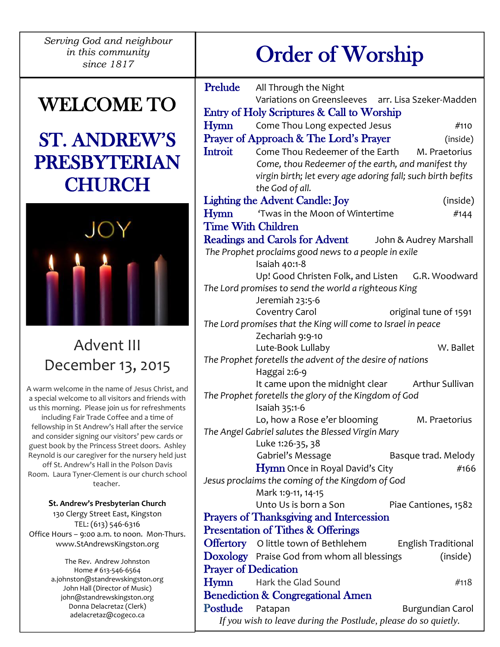*Serving God and neighbour in this community* 

# WELCOME TO

# ST. ANDREW'S PRESBYTERIAN **CHURCH**



# Advent III December 13, 2015

A warm welcome in the name of Jesus Christ, and a special welcome to all visitors and friends with us this morning. Please join us for refreshments including Fair Trade Coffee and a time of fellowship in St Andrew's Hall after the service and consider signing our visitors' pew cards or guest book by the Princess Street doors. Ashley Reynold is our caregiver for the nursery held just off St. Andrew's Hall in the Polson Davis Room. Laura Tyner-Clement is our church school teacher.

**St. Andrew's Presbyterian Church** 130 Clergy Street East, Kingston TEL: (613) 546-6316 Office Hours – 9:00 a.m. to noon. Mon-Thurs. [www.StAndrewsKingston.org](http://www.standrewskingston.org/)

> The Rev. Andrew Johnston Home # 613-546-6564 a.johnston@standrewskingston.org John Hall (Director of Music) john@standrewskingston.org Donna Delacretaz (Clerk) adelacretaz@cogeco.ca

# *his community*  $\qquad$  |  $\qquad$  Order of Worship

| Prelude          | All Through the Night                                                     |
|------------------|---------------------------------------------------------------------------|
|                  | Variations on Greensleeves arr. Lisa Szeker-Madden                        |
|                  | Entry of Holy Scriptures & Call to Worship                                |
| <b>Hymn</b>      | Come Thou Long expected Jesus<br>#110                                     |
|                  | Prayer of Approach & The Lord's Prayer<br>(inside)                        |
| <b>Introit</b>   | Come Thou Redeemer of the Earth<br>M. Praetorius                          |
|                  | Come, thou Redeemer of the earth, and manifest thy                        |
|                  | virgin birth; let every age adoring fall; such birth befits               |
|                  | the God of all.                                                           |
|                  | <b>Lighting the Advent Candle: Joy</b><br>(inside)                        |
| Hymn             | 'Twas in the Moon of Wintertime<br>#144                                   |
|                  | <b>Time With Children</b>                                                 |
|                  | <b>Readings and Carols for Advent</b><br>John & Audrey Marshall           |
|                  | The Prophet proclaims good news to a people in exile                      |
|                  | Isaiah 40:1-8                                                             |
|                  | Up! Good Christen Folk, and Listen<br>G.R. Woodward                       |
|                  | The Lord promises to send the world a righteous King<br>Jeremiah 23:5-6   |
|                  | Coventry Carol<br>original tune of 1591                                   |
|                  | The Lord promises that the King will come to Israel in peace              |
|                  | Zechariah 9:9-10                                                          |
|                  | Lute-Book Lullaby<br>W. Ballet                                            |
|                  | The Prophet foretells the advent of the desire of nations                 |
|                  | Haggai 2:6-9                                                              |
|                  | It came upon the midnight clear<br>Arthur Sullivan                        |
|                  |                                                                           |
|                  | The Prophet foretells the glory of the Kingdom of God                     |
|                  | Isaiah 35:1-6                                                             |
|                  | Lo, how a Rose e'er blooming<br>M. Praetorius                             |
|                  | The Angel Gabriel salutes the Blessed Virgin Mary                         |
|                  | Luke 1:26-35, 38                                                          |
|                  | Gabriel's Message<br>Basque trad. Melody                                  |
|                  | <b>Hymn</b> Once in Royal David's City<br>#166                            |
|                  | Jesus proclaims the coming of the Kingdom of God                          |
|                  | Mark 1:9-11, 14-15                                                        |
|                  | Unto Us is born a Son<br>Piae Cantiones, 1582                             |
|                  | <b>Prayers of Thanksgiving and Intercession</b>                           |
|                  | <b>Presentation of Tithes &amp; Offerings</b>                             |
|                  | <b>Offertory</b> O little town of Bethlehem<br><b>English Traditional</b> |
|                  | Doxology Praise God from whom all blessings<br>(inside)                   |
|                  | <b>Prayer of Dedication</b><br>Hark the Glad Sound<br>#118                |
| Hymn             |                                                                           |
| Postlude Patapan | <b>Benediction &amp; Congregational Amen</b><br><b>Burgundian Carol</b>   |

*If you wish to leave during the Postlude, please do so quietly.*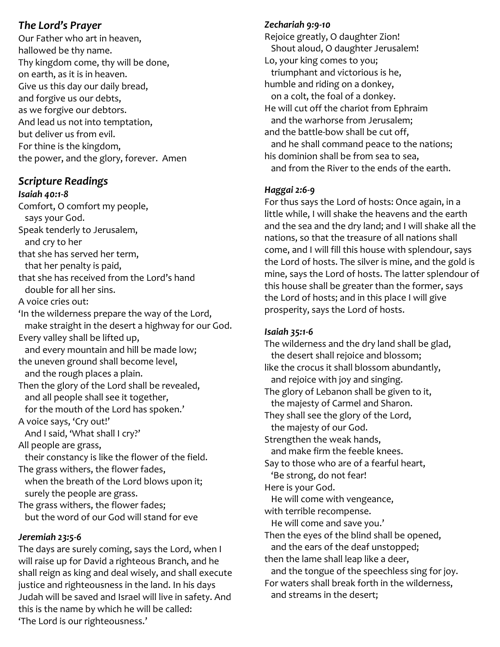# *The Lord's Prayer*

Our Father who art in heaven, hallowed be thy name. Thy kingdom come, thy will be done, on earth, as it is in heaven. Give us this day our daily bread, and forgive us our debts, as we forgive our debtors. And lead us not into temptation, but deliver us from evil. For thine is the kingdom, the power, and the glory, forever. Amen

# *Scripture Readings*

*Isaiah 40:1-8*

Comfort, O comfort my people, says your God. Speak tenderly to Jerusalem, and cry to her that she has served her term, that her penalty is paid, that she has received from the Lord's hand double for all her sins. A voice cries out: 'In the wilderness prepare the way of the Lord, make straight in the desert a highway for our God. Every valley shall be lifted up, and every mountain and hill be made low; the uneven ground shall become level, and the rough places a plain. Then the glory of the Lord shall be revealed, and all people shall see it together, for the mouth of the Lord has spoken.' A voice says, 'Cry out!' And I said, 'What shall I cry?' All people are grass, their constancy is like the flower of the field. The grass withers, the flower fades, when the breath of the Lord blows upon it; surely the people are grass. The grass withers, the flower fades; but the word of our God will stand for eve *Jeremiah 23:5-6*

The days are surely coming, says the Lord, when I will raise up for David a righteous Branch, and he shall reign as king and deal wisely, and shall execute justice and righteousness in the land. In his days Judah will be saved and Israel will live in safety. And this is the name by which he will be called: 'The Lord is our righteousness.'

## *Zechariah 9:9-10*

Rejoice greatly, O daughter Zion! Shout aloud, O daughter Jerusalem! Lo, your king comes to you; triumphant and victorious is he, humble and riding on a donkey, on a colt, the foal of a donkey. He will cut off the chariot from Ephraim and the warhorse from Jerusalem; and the battle-bow shall be cut off, and he shall command peace to the nations; his dominion shall be from sea to sea, and from the River to the ends of the earth.

# *Haggai 2:6-9*

For thus says the Lord of hosts: Once again, in a little while, I will shake the heavens and the earth and the sea and the dry land; and I will shake all the nations, so that the treasure of all nations shall come, and I will fill this house with splendour, says the Lord of hosts. The silver is mine, and the gold is mine, says the Lord of hosts. The latter splendour of this house shall be greater than the former, says the Lord of hosts; and in this place I will give prosperity, says the Lord of hosts.

## *Isaiah 35:1-6*

The wilderness and the dry land shall be glad, the desert shall rejoice and blossom; like the crocus it shall blossom abundantly, and rejoice with joy and singing. The glory of Lebanon shall be given to it, the majesty of Carmel and Sharon. They shall see the glory of the Lord, the majesty of our God. Strengthen the weak hands, and make firm the feeble knees. Say to those who are of a fearful heart, 'Be strong, do not fear! Here is your God. He will come with vengeance, with terrible recompense. He will come and save you.' Then the eyes of the blind shall be opened, and the ears of the deaf unstopped; then the lame shall leap like a deer, and the tongue of the speechless sing for joy. For waters shall break forth in the wilderness, and streams in the desert;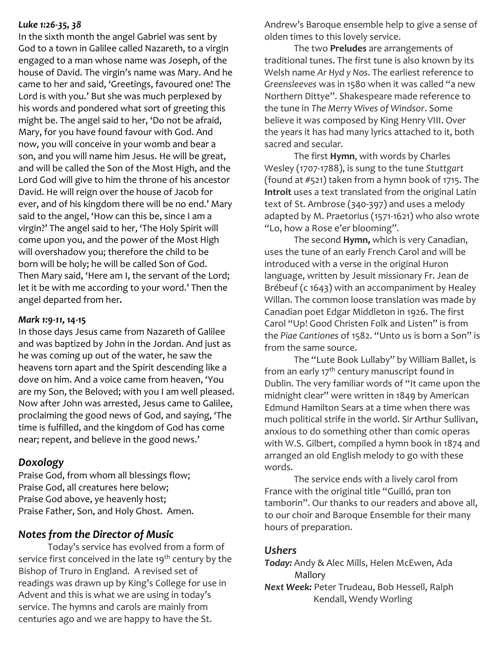#### *Luke 1:26-35, 38*

In the sixth month the angel Gabriel was sent by God to a town in Galilee called Nazareth, to a virgin engaged to a man whose name was Joseph, of the house of David. The virgin's name was Mary. And he came to her and said, 'Greetings, favoured one! The Lord is with you.' But she was much perplexed by his words and pondered what sort of greeting this might be. The angel said to her, 'Do not be afraid, Mary, for you have found favour with God. And now, you will conceive in your womb and bear a son, and you will name him Jesus. He will be great, and will be called the Son of the Most High, and the Lord God will give to him the throne of his ancestor David. He will reign over the house of Jacob for ever, and of his kingdom there will be no end.' Mary said to the angel, 'How can this be, since I am a virgin?' The angel said to her, 'The Holy Spirit will come upon you, and the power of the Most High will overshadow you; therefore the child to be born will be holy; he will be called Son of God. Then Mary said, 'Here am I, the servant of the Lord; let it be with me according to your word.' Then the angel departed from her*.*

#### *Mark 1:9-11,* **14-15**

In those days Jesus came from Nazareth of Galilee and was baptized by John in the Jordan. And just as he was coming up out of the water, he saw the heavens torn apart and the Spirit descending like a dove on him. And a voice came from heaven, 'You are my Son, the Beloved; with you I am well pleased. Now after John was arrested, Jesus came to Galilee, proclaiming the good news of God, and saying, 'The time is fulfilled, and the kingdom of God has come near; repent, and believe in the good news.'

#### *Doxology*

Praise God, from whom all blessings flow; Praise God, all creatures here below; Praise God above, ye heavenly host; Praise Father, Son, and Holy Ghost. Amen.

## *Notes from the Director of Music*

Today's service has evolved from a form of service first conceived in the late 19<sup>th</sup> century by the Bishop of Truro in England. A revised set of readings was drawn up by King's College for use in Advent and this is what we are using in today's service. The hymns and carols are mainly from centuries ago and we are happy to have the St.

Andrew's Baroque ensemble help to give a sense of olden times to this lovely service.

The two **Preludes** are arrangements of traditional tunes. The first tune is also known by its Welsh name *Ar Hyd y Nos*. The earliest reference to *Greensleeves* was in 1580 when it was called "a new Northern Dittye". Shakespeare made reference to the tune in *The Merry Wives of Windsor*. Some believe it was composed by King Henry VIII. Over the years it has had many lyrics attached to it, both sacred and secular.

The first **Hymn**, with words by Charles Wesley (1707-1788), is sung to the tune *Stuttgart*  (found at #521) taken from a hymn book of 1715. The **Introit** uses a text translated from the original Latin text of St. Ambrose (340-397) and uses a melody adapted by M. Praetorius (1571-1621) who also wrote "Lo, how a Rose e'er blooming".

The second **Hymn,** which is very Canadian, uses the tune of an early French Carol and will be introduced with a verse in the original Huron language, written by Jesuit missionary Fr. Jean de Brébeuf (c 1643) with an accompaniment by Healey Willan. The common loose translation was made by Canadian poet Edgar Middleton in 1926. The first Carol "Up! Good Christen Folk and Listen" is from the *Piae Cantiones* of 1582. "Unto us is born a Son" is from the same source.

The "Lute Book Lullaby" by William Ballet, is from an early 17<sup>th</sup> century manuscript found in Dublin. The very familiar words of "It came upon the midnight clear" were written in 1849 by American Edmund Hamilton Sears at a time when there was much political strife in the world. Sir Arthur Sullivan, anxious to do something other than comic operas with W.S. Gilbert, compiled a hymn book in 1874 and arranged an old English melody to go with these words.

The service ends with a lively carol from France with the original title "Guilló, pran ton tamborin". Our thanks to our readers and above all, to our choir and Baroque Ensemble for their many hours of preparation.

#### *Ushers*

*Today:* Andy & Alec Mills, Helen McEwen, Ada Mallory

*Next Week:* Peter Trudeau, Bob Hessell, Ralph Kendall, Wendy Worling